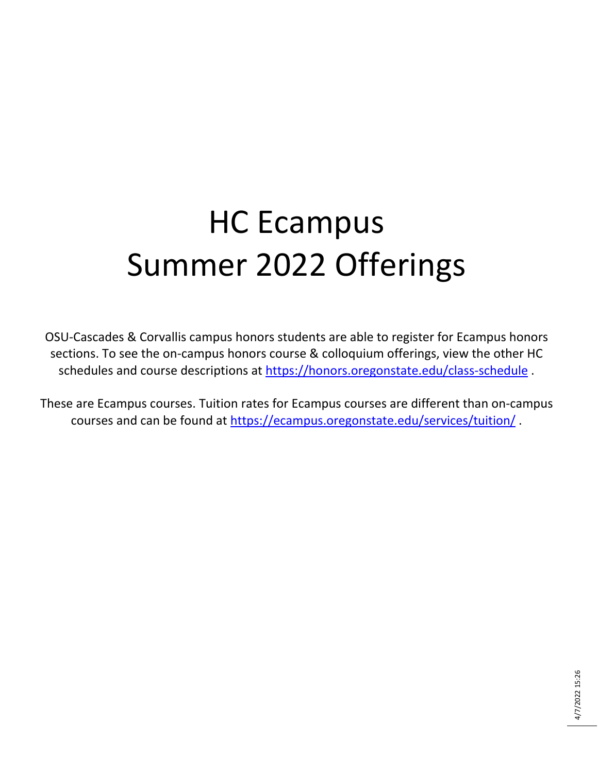## HC Ecampus Summer 2022 Offerings

OSU-Cascades & Corvallis campus honors students are able to register for Ecampus honors sections. To see the on-campus honors course & colloquium offerings, view the other HC schedules and course descriptions at<https://honors.oregonstate.edu/class-schedule> .

These are Ecampus courses. Tuition rates for Ecampus courses are different than on-campus courses and can be found at<https://ecampus.oregonstate.edu/services/tuition/> .